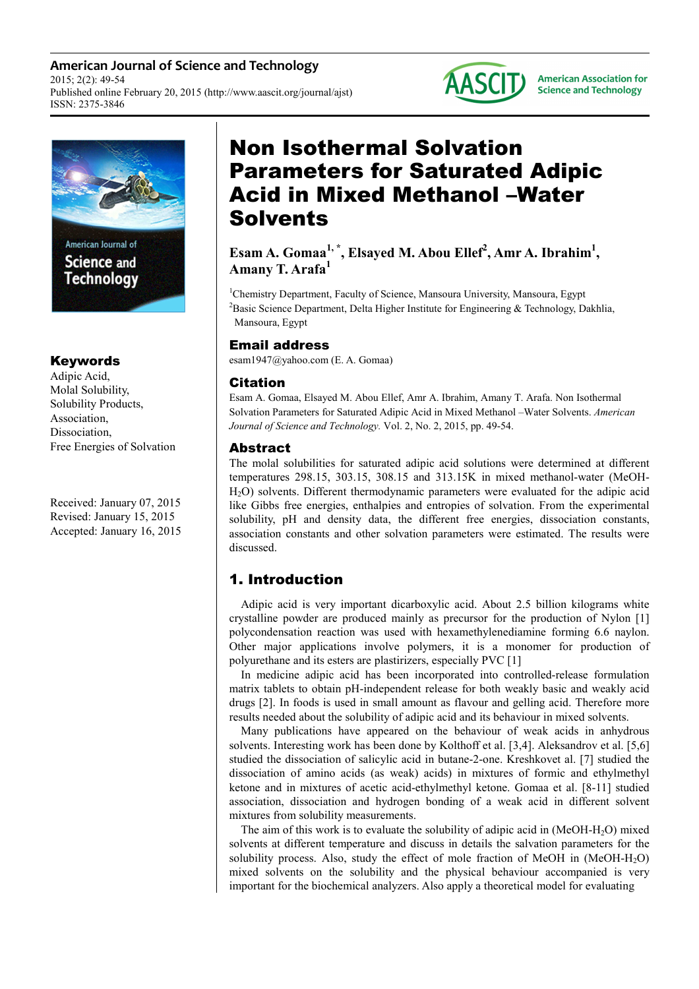**American Journal of Science and Technology** 2015; 2(2): 49-54 Published online February 20, 2015 (http://www.aascit.org/journal/ajst) ISSN: 2375-3846



# Keywords

Adipic Acid, Molal Solubility, Solubility Products, Association, **Dissociation** Free Energies of Solvation

Received: January 07, 2015 Revised: January 15, 2015 Accepted: January 16, 2015

# Non Isothermal Solvation Parameters for Saturated Adipic Acid in Mixed Methanol –Water Solvents

**AASCIT** 

**American Association for Science and Technology** 

**Esam A. Gomaa1, \*, Elsayed M. Abou Ellef<sup>2</sup> , Amr A. Ibrahim<sup>1</sup> , Amany T. Arafa<sup>1</sup>**

<sup>1</sup>Chemistry Department, Faculty of Science, Mansoura University, Mansoura, Egypt <sup>2</sup>Basic Science Department, Delta Higher Institute for Engineering & Technology, Dakhlia, Mansoura, Egypt

# Email address

esam1947@yahoo.com (E. A. Gomaa)

# Citation

Esam A. Gomaa, Elsayed M. Abou Ellef, Amr A. Ibrahim, Amany T. Arafa. Non Isothermal Solvation Parameters for Saturated Adipic Acid in Mixed Methanol –Water Solvents. *American Journal of Science and Technology.* Vol. 2, No. 2, 2015, pp. 49-54.

## Abstract

The molal solubilities for saturated adipic acid solutions were determined at different temperatures 298.15, 303.15, 308.15 and 313.15K in mixed methanol-water (MeOH-H2O) solvents. Different thermodynamic parameters were evaluated for the adipic acid like Gibbs free energies, enthalpies and entropies of solvation. From the experimental solubility, pH and density data, the different free energies, dissociation constants, association constants and other solvation parameters were estimated. The results were discussed.

# 1. Introduction

Adipic acid is very important dicarboxylic acid. About 2.5 billion kilograms white crystalline powder are produced mainly as precursor for the production of Nylon [1] polycondensation reaction was used with hexamethylenediamine forming 6.6 naylon. Other major applications involve polymers, it is a monomer for production of polyurethane and its esters are plastirizers, especially PVC [1]

In medicine adipic acid has been incorporated into controlled-release formulation matrix tablets to obtain pH-independent release for both weakly basic and weakly acid drugs [2]. In foods is used in small amount as flavour and gelling acid. Therefore more results needed about the solubility of adipic acid and its behaviour in mixed solvents.

Many publications have appeared on the behaviour of weak acids in anhydrous solvents. Interesting work has been done by Kolthoff et al. [3,4]. Aleksandrov et al. [5,6] studied the dissociation of salicylic acid in butane-2-one. Kreshkovet al. [7] studied the dissociation of amino acids (as weak) acids) in mixtures of formic and ethylmethyl ketone and in mixtures of acetic acid-ethylmethyl ketone. Gomaa et al. [8-11] studied association, dissociation and hydrogen bonding of a weak acid in different solvent mixtures from solubility measurements.

The aim of this work is to evaluate the solubility of adipic acid in (MeOH-H2O) mixed solvents at different temperature and discuss in details the salvation parameters for the solubility process. Also, study the effect of mole fraction of MeOH in  $(MeOH-H<sub>2</sub>O)$ mixed solvents on the solubility and the physical behaviour accompanied is very important for the biochemical analyzers. Also apply a theoretical model for evaluating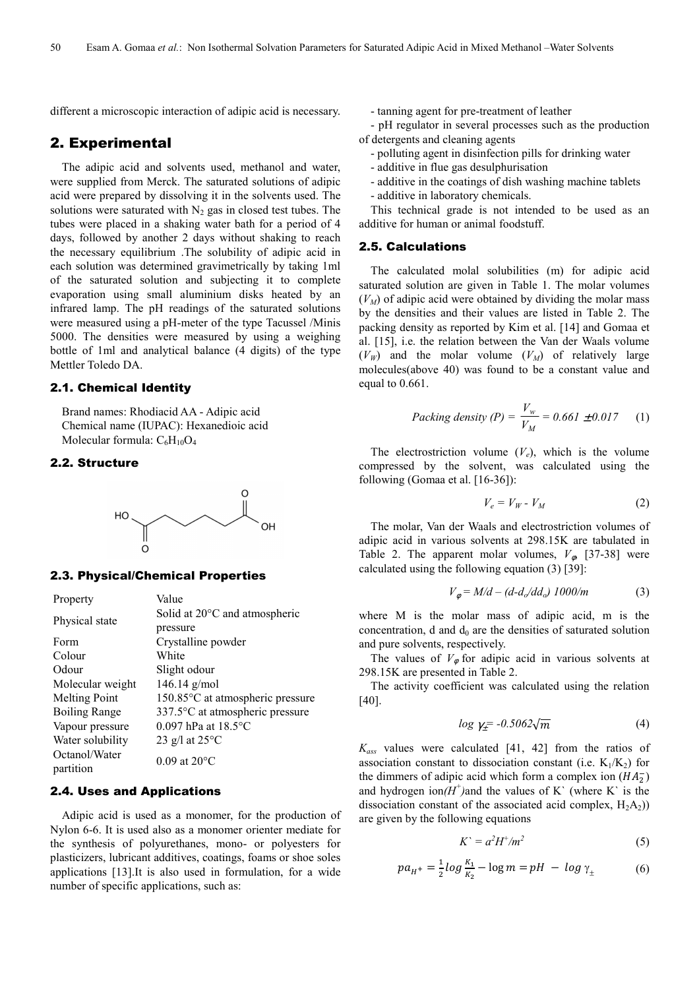different a microscopic interaction of adipic acid is necessary.

## 2. Experimental

The adipic acid and solvents used, methanol and water, were supplied from Merck. The saturated solutions of adipic acid were prepared by dissolving it in the solvents used. The solutions were saturated with  $N_2$  gas in closed test tubes. The tubes were placed in a shaking water bath for a period of 4 days, followed by another 2 days without shaking to reach the necessary equilibrium .The solubility of adipic acid in each solution was determined gravimetrically by taking 1ml of the saturated solution and subjecting it to complete evaporation using small aluminium disks heated by an infrared lamp. The pH readings of the saturated solutions were measured using a pH-meter of the type Tacussel /Minis 5000. The densities were measured by using a weighing bottle of 1ml and analytical balance (4 digits) of the type Mettler Toledo DA.

#### 2.1. Chemical Identity

Brand names: Rhodiacid AA - Adipic acid Chemical name (IUPAC): Hexanedioic acid Molecular formula:  $C_6H_{10}O_4$ 

#### 2.2. Structure



#### 2.3. Physical/Chemical Properties

| Property             | Value                            |  |  |
|----------------------|----------------------------------|--|--|
| Physical state       | Solid at 20°C and atmospheric    |  |  |
|                      | pressure                         |  |  |
| Form                 | Crystalline powder               |  |  |
| Colour               | White                            |  |  |
| Odour                | Slight odour                     |  |  |
| Molecular weight     | 146.14 $g/mol$                   |  |  |
| <b>Melting Point</b> | 150.85°C at atmospheric pressure |  |  |
| <b>Boiling Range</b> | 337.5°C at atmospheric pressure  |  |  |
| Vapour pressure      | $0.097$ hPa at $18.5$ °C         |  |  |
| Water solubility     | 23 g/l at $25^{\circ}$ C         |  |  |
| Octanol/Water        | 0.09 at $20^{\circ}$ C           |  |  |
| partition            |                                  |  |  |

#### 2.4. Uses and Applications

Adipic acid is used as a monomer, for the production of Nylon 6-6. It is used also as a monomer orienter mediate for the synthesis of polyurethanes, mono- or polyesters for plasticizers, lubricant additives, coatings, foams or shoe soles applications [13].It is also used in formulation, for a wide number of specific applications, such as:

- tanning agent for pre-treatment of leather

- pH regulator in several processes such as the production of detergents and cleaning agents

- polluting agent in disinfection pills for drinking water
- additive in flue gas desulphurisation
- additive in the coatings of dish washing machine tablets
- additive in laboratory chemicals.

This technical grade is not intended to be used as an additive for human or animal foodstuff.

#### 2.5. Calculations

The calculated molal solubilities (m) for adipic acid saturated solution are given in Table 1. The molar volumes  $(V_M)$  of adipic acid were obtained by dividing the molar mass by the densities and their values are listed in Table 2. The packing density as reported by Kim et al. [14] and Gomaa et al. [15], i.e. the relation between the Van der Waals volume  $(V_W)$  and the molar volume  $(V_M)$  of relatively large molecules(above 40) was found to be a constant value and equal to 0.661.

*Packing density (P)* = 
$$
\frac{V_w}{V_M}
$$
 = 0.661 ± 0.017 (1)

The electrostriction volume  $(V_e)$ , which is the volume compressed by the solvent, was calculated using the following (Gomaa et al. [16-36]):

$$
V_e = V_W - V_M \tag{2}
$$

The molar, Van der Waals and electrostriction volumes of adipic acid in various solvents at 298.15K are tabulated in Table 2. The apparent molar volumes,  $V_{\phi}$  [37-38] were calculated using the following equation (3) [39]:

$$
V_{\phi} = M/d - (d - d_o / dd_o) \; 1000/m \tag{3}
$$

where M is the molar mass of adipic acid, m is the concentration, d and  $d_0$  are the densities of saturated solution and pure solvents, respectively.

The values of  $V_{\phi}$  for adipic acid in various solvents at 298.15K are presented in Table 2.

The activity coefficient was calculated using the relation [40].

$$
\log \gamma_{\pm} = -0.5062\sqrt{m} \tag{4}
$$

*Kass* values were calculated [41, 42] from the ratios of association constant to dissociation constant (i.e.  $K_1/K_2$ ) for the dimmers of adipic acid which form a complex ion  $(HA_2^-)$ and hydrogen ion $(H<sup>+</sup>)$ and the values of K` (where K` is the dissociation constant of the associated acid complex,  $H_2A_2$ ) are given by the following equations

$$
K^{\prime} = a^2 H^+ / m^2 \tag{5}
$$

$$
pa_{H^{+}} = \frac{1}{2} log \frac{K_1}{K_2} - log m = pH - log \gamma_{\pm}
$$
 (6)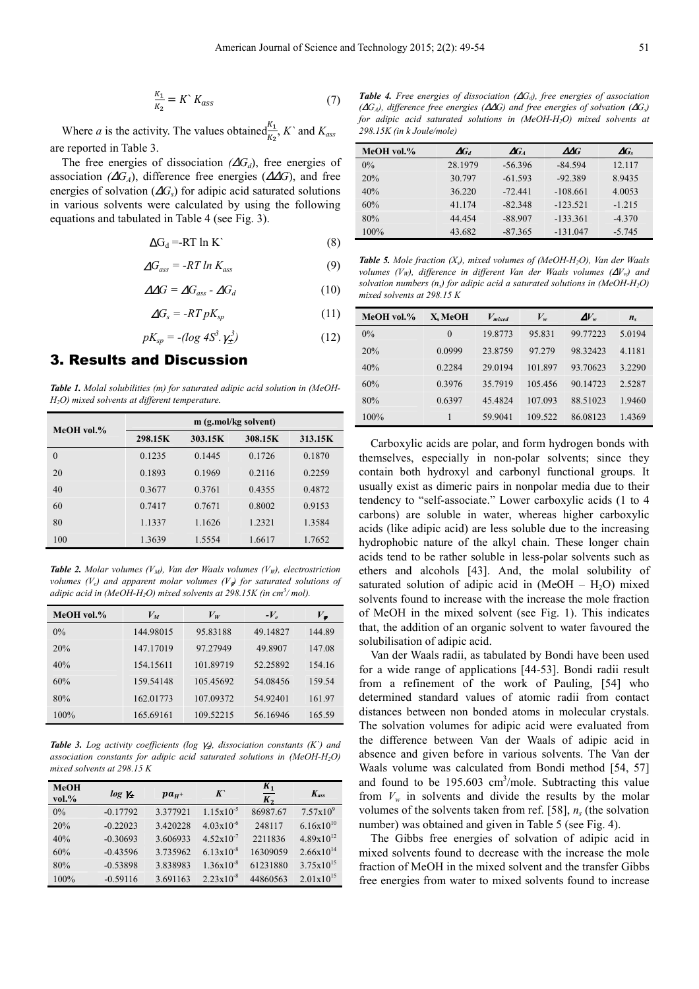$$
\frac{K_1}{K_2} = K^{\cdot} K_{ass} \tag{7}
$$

Where *a* is the activity. The values obtained $\frac{K_1}{K_2}$ , *K*<sup>*a*</sup> and *K<sub>ass</sub>* are reported in Table 3.

The free energies of dissociation  $(\Delta G_d)$ , free energies of association  $(\Delta G_A)$ , difference free energies  $(\Delta \Delta G)$ , and free energies of solvation (∆*Gs*) for adipic acid saturated solutions in various solvents were calculated by using the following equations and tabulated in Table 4 (see Fig. 3).

$$
\Delta G_d = RT \ln K \tag{8}
$$

$$
\Delta G_{ass} = -RT \ln K_{ass} \tag{9}
$$

$$
\Delta \Delta G = \Delta G_{ass} - \Delta G_d \tag{10}
$$

$$
\Delta G_s = -RTpK_{sp} \tag{11}
$$

$$
pK_{sp} = -(log\ 4S^3.\gamma_{\pm}^3) \tag{12}
$$

# 3. Results and Discussion

*Table 1. Molal solubilities (m) for saturated adipic acid solution in (MeOH-H2O) mixed solvents at different temperature.* 

| MeOH vol.% | m (g.mol/kg solvent) |         |         |         |  |
|------------|----------------------|---------|---------|---------|--|
|            | 298.15K              | 303.15K | 308.15K | 313.15K |  |
| $\theta$   | 0.1235               | 0.1445  | 0.1726  | 0.1870  |  |
| 20         | 0.1893               | 0.1969  | 0.2116  | 0.2259  |  |
| 40         | 0.3677               | 0.3761  | 0.4355  | 0.4872  |  |
| 60         | 0.7417               | 0.7671  | 0.8002  | 0.9153  |  |
| 80         | 1.1337               | 1.1626  | 1.2321  | 1.3584  |  |
| 100        | 1.3639               | 1.5554  | 1.6617  | 1.7652  |  |

*Table 2. Molar volumes (V<sub>M</sub>), Van der Waals volumes (V<sub>W</sub>), electrostriction volumes (V<sub>e</sub>) and apparent molar volumes (V<sub>e</sub>) for saturated solutions of adipic acid in (MeOH-H2O) mixed solvents at 298.15K (in cm<sup>3</sup> / mol).* 

| MeOH vol.% | $V_M$     | $V_W$     | $-V_e$   | $V_{\phi}$ |
|------------|-----------|-----------|----------|------------|
| $0\%$      | 144.98015 | 95.83188  | 49.14827 | 144.89     |
| 20%        | 147.17019 | 97.27949  | 49.8907  | 147.08     |
| 40%        | 154.15611 | 101.89719 | 52.25892 | 154.16     |
| 60%        | 159.54148 | 105.45692 | 54.08456 | 159.54     |
| 80%        | 162.01773 | 107.09372 | 54.92401 | 161.97     |
| 100%       | 165.69161 | 109.52215 | 56.16946 | 165.59     |

*Table 3. Log activity coefficients (log γ<sub>±</sub>), dissociation constants (K) and association constants for adipic acid saturated solutions in (MeOH-H2O) mixed solvents at 298.15 K* 

| <b>MeOH</b><br>$vol. \%$ | $log \gamma_1$ | $pa_{H^+}$ | $K^{\circ}$           | $K_{1}$<br>$K_{2}$ | $K_{ass}$             |
|--------------------------|----------------|------------|-----------------------|--------------------|-----------------------|
| $0\%$                    | $-0.17792$     | 3.377921   | $1.15x10^{-5}$        | 86987.67           | $7.57x10^{9}$         |
| 20%                      | $-0.22023$     | 3.420228   | $4.03 \times 10^{-6}$ | 248117             | $6.16x10^{10}$        |
| 40%                      | $-0.30693$     | 3.606933   | $4.52 \times 10^{-7}$ | 2211836            | $4.89 \times 10^{12}$ |
| 60%                      | $-0.43596$     | 3.735962   | $6.13 \times 10^{-8}$ | 16309059           | $2.66 \times 10^{14}$ |
| 80%                      | $-0.53898$     | 3.838983   | $1.36x10^{-8}$        | 61231880           | $3.75 \times 10^{15}$ |
| 100%                     | $-0.59116$     | 3.691163   | $2.23 \times 10^{-8}$ | 44860563           | $2.01 \times 10^{15}$ |

*Table 4. Free energies of dissociation (*∆*Gd), free energies of association (*∆*GA), difference free energies (*∆∆*G) and free energies of solvation (*∆*Gs) for adipic acid saturated solutions in (MeOH-H2O) mixed solvents at 298.15K (in k Joule/mole)* 

| MeOH vol.% | $\boldsymbol{\varDelta} G_d$ | $\Delta G_A$ | AAG        | $\Delta G_s$ |
|------------|------------------------------|--------------|------------|--------------|
| $0\%$      | 28.1979                      | $-56.396$    | $-84.594$  | 12.117       |
| 20%        | 30.797                       | $-61.593$    | $-92.389$  | 8.9435       |
| 40%        | 36.220                       | $-72.441$    | $-108.661$ | 4.0053       |
| 60%        | 41.174                       | $-82.348$    | $-123.521$ | $-1.215$     |
| 80%        | 44.454                       | $-88.907$    | $-133.361$ | $-4.370$     |
| $100\%$    | 43.682                       | $-87.365$    | $-131.047$ | $-5.745$     |

*Table 5. Mole fraction (Xs), mixed volumes of (MeOH-H2O), Van der Waals volumes (VW), difference in different Van der Waals volumes (*∆*Vw) and solvation numbers (ns) for adipic acid a saturated solutions in (MeOH-H2O) mixed solvents at 298.15 K* 

| MeOH vol.% | X. MeOH  | $V_{mixed}$ | $V_{w}$ | $\Delta V_{w}$ | $n_{\rm s}$ |
|------------|----------|-------------|---------|----------------|-------------|
| $0\%$      | $\Omega$ | 19.8773     | 95.831  | 99.77223       | 5.0194      |
| 20%        | 0.0999   | 23.8759     | 97.279  | 98.32423       | 4.1181      |
| 40%        | 0.2284   | 29.0194     | 101.897 | 93.70623       | 3.2290      |
| 60%        | 0.3976   | 35.7919     | 105.456 | 90.14723       | 2.5287      |
| 80%        | 0.6397   | 45.4824     | 107.093 | 88.51023       | 1.9460      |
| 100%       |          | 59.9041     | 109.522 | 86.08123       | 1.4369      |

Carboxylic acids are polar, and form hydrogen bonds with themselves, especially in non-polar solvents; since they contain both hydroxyl and carbonyl functional groups. It usually exist as dimeric pairs in nonpolar media due to their tendency to "self-associate." Lower carboxylic acids (1 to 4 carbons) are soluble in water, whereas higher carboxylic acids (like adipic acid) are less soluble due to the increasing hydrophobic nature of the alkyl chain. These longer chain acids tend to be rather soluble in less-polar solvents such as ethers and alcohols [43]. And, the molal solubility of saturated solution of adipic acid in  $(MeOH - H<sub>2</sub>O)$  mixed solvents found to increase with the increase the mole fraction of MeOH in the mixed solvent (see Fig. 1). This indicates that, the addition of an organic solvent to water favoured the solubilisation of adipic acid.

Van der Waals radii, as tabulated by Bondi have been used for a wide range of applications [44-53]. Bondi radii result from a refinement of the work of Pauling, [54] who determined standard values of atomic radii from contact distances between non bonded atoms in molecular crystals. The solvation volumes for adipic acid were evaluated from the difference between Van der Waals of adipic acid in absence and given before in various solvents. The Van der Waals volume was calculated from Bondi method [54, 57] and found to be  $195.603$  cm<sup>3</sup>/mole. Subtracting this value from  $V_w$  in solvents and divide the results by the molar volumes of the solvents taken from ref. [58],  $n<sub>s</sub>$  (the solvation number) was obtained and given in Table 5 (see Fig. 4).

The Gibbs free energies of solvation of adipic acid in mixed solvents found to decrease with the increase the mole fraction of MeOH in the mixed solvent and the transfer Gibbs free energies from water to mixed solvents found to increase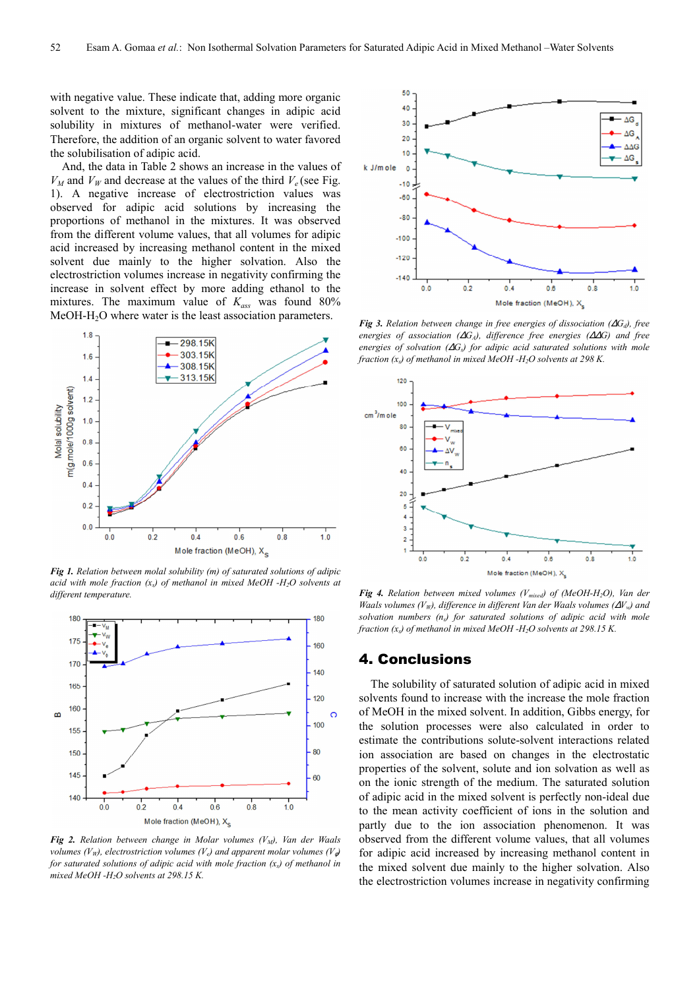with negative value. These indicate that, adding more organic solvent to the mixture, significant changes in adipic acid solubility in mixtures of methanol-water were verified. Therefore, the addition of an organic solvent to water favored the solubilisation of adipic acid.

And, the data in Table 2 shows an increase in the values of  $V_M$  and  $V_W$  and decrease at the values of the third  $V_e$  (see Fig. 1). A negative increase of electrostriction values was observed for adipic acid solutions by increasing the proportions of methanol in the mixtures. It was observed from the different volume values, that all volumes for adipic acid increased by increasing methanol content in the mixed solvent due mainly to the higher solvation. Also the electrostriction volumes increase in negativity confirming the increase in solvent effect by more adding ethanol to the mixtures. The maximum value of *Kass* was found 80% MeOH-H<sub>2</sub>O where water is the least association parameters.



*Fig 1. Relation between molal solubility (m) of saturated solutions of adipic acid with mole fraction (xs) of methanol in mixed MeOH -H2O solvents at different temperature.* 



*Fig 2. Relation between change in Molar volumes (VM), Van der Waals volumes (V<sub>W</sub>), electrostriction volumes (V<sub>e</sub>) and apparent molar volumes (V<sub>e</sub>) for saturated solutions of adipic acid with mole fraction (xs) of methanol in mixed MeOH -H2O solvents at 298.15 K.* 



*Fig 3. Relation between change in free energies of dissociation (* $\Delta G_d$ *), free energies of association (*∆*GA), difference free energies (*∆∆*G) and free energies of solvation (*∆*Gs) for adipic acid saturated solutions with mole fraction (xs) of methanol in mixed MeOH -H2O solvents at 298 K.* 



*Fig 4. Relation between mixed volumes (Vmixed) of (MeOH-H2O), Van der Waals volumes (VW), difference in different Van der Waals volumes (*∆*Vw) and solvation numbers (ns) for saturated solutions of adipic acid with mole fraction (xs) of methanol in mixed MeOH -H2O solvents at 298.15 K.* 

### 4. Conclusions

The solubility of saturated solution of adipic acid in mixed solvents found to increase with the increase the mole fraction of MeOH in the mixed solvent. In addition, Gibbs energy, for the solution processes were also calculated in order to estimate the contributions solute-solvent interactions related ion association are based on changes in the electrostatic properties of the solvent, solute and ion solvation as well as on the ionic strength of the medium. The saturated solution of adipic acid in the mixed solvent is perfectly non-ideal due to the mean activity coefficient of ions in the solution and partly due to the ion association phenomenon. It was observed from the different volume values, that all volumes for adipic acid increased by increasing methanol content in the mixed solvent due mainly to the higher solvation. Also the electrostriction volumes increase in negativity confirming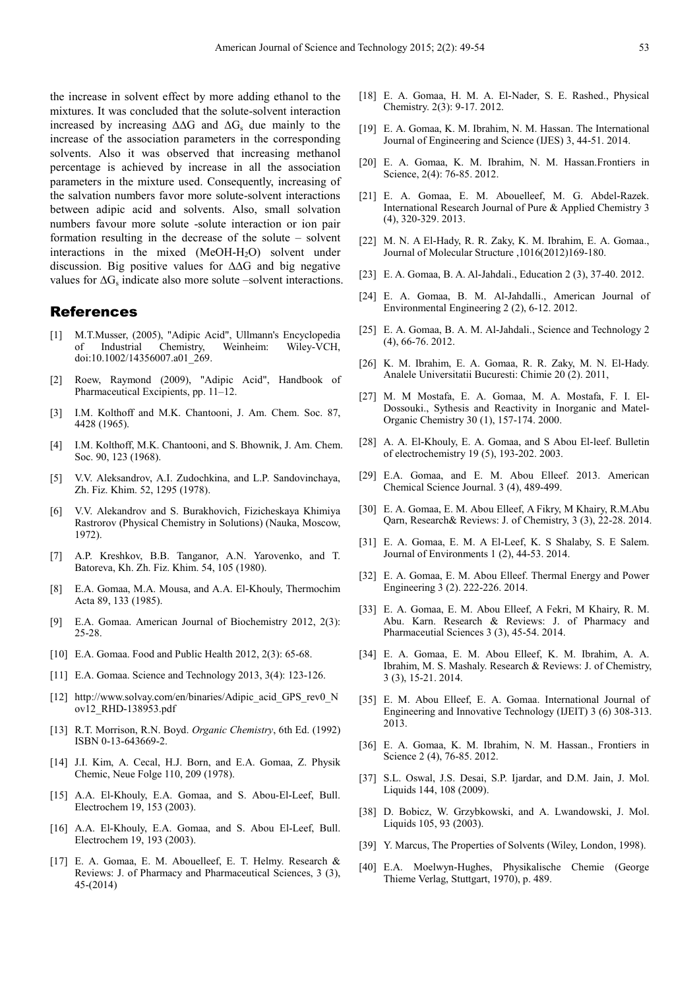the increase in solvent effect by more adding ethanol to the mixtures. It was concluded that the solute-solvent interaction increased by increasing ∆∆G and ∆G<sup>s</sup> due mainly to the increase of the association parameters in the corresponding solvents. Also it was observed that increasing methanol percentage is achieved by increase in all the association parameters in the mixture used. Consequently, increasing of the salvation numbers favor more solute-solvent interactions between adipic acid and solvents. Also, small solvation numbers favour more solute -solute interaction or ion pair formation resulting in the decrease of the solute – solvent interactions in the mixed  $(MeOH-H<sub>2</sub>O)$  solvent under discussion. Big positive values for ∆∆G and big negative values for  $\Delta G_s$  indicate also more solute –solvent interactions.

#### References

- [1] M.T.Musser, (2005), "Adipic Acid", Ullmann's Encyclopedia of Industrial Chemistry, Weinheim: Wiley-VCH, doi:10.1002/14356007.a01\_269.
- [2] Roew, Raymond (2009), "Adipic Acid", Handbook of Pharmaceutical Excipients, pp. 11–12.
- [3] I.M. Kolthoff and M.K. Chantooni, J. Am. Chem. Soc. 87, 4428 (1965).
- [4] I.M. Kolthoff, M.K. Chantooni, and S. Bhownik, J. Am. Chem. Soc. 90, 123 (1968).
- [5] V.V. Aleksandrov, A.I. Zudochkina, and L.P. Sandovinchaya, Zh. Fiz. Khim. 52, 1295 (1978).
- [6] V.V. Alekandrov and S. Burakhovich, Fizicheskaya Khimiya Rastrorov (Physical Chemistry in Solutions) (Nauka, Moscow, 1972).
- [7] A.P. Kreshkov, B.B. Tanganor, A.N. Yarovenko, and T. Batoreva, Kh. Zh. Fiz. Khim. 54, 105 (1980).
- [8] E.A. Gomaa, M.A. Mousa, and A.A. El-Khouly, Thermochim Acta 89, 133 (1985).
- [9] E.A. Gomaa. American Journal of Biochemistry 2012, 2(3): 25-28.
- [10] E.A. Gomaa. Food and Public Health 2012, 2(3): 65-68.
- [11] E.A. Gomaa. Science and Technology 2013, 3(4): 123-126.
- [12] http://www.solvay.com/en/binaries/Adipic acid GPS rev0 N ov12\_RHD-138953.pdf
- [13] R.T. Morrison, R.N. Boyd. *Organic Chemistry*, 6th Ed. (1992) ISBN 0-13-643669-2.
- [14] J.I. Kim, A. Cecal, H.J. Born, and E.A. Gomaa, Z. Physik Chemic, Neue Folge 110, 209 (1978).
- [15] A.A. El-Khouly, E.A. Gomaa, and S. Abou-El-Leef, Bull. Electrochem 19, 153 (2003).
- [16] A.A. El-Khouly, E.A. Gomaa, and S. Abou El-Leef, Bull. Electrochem 19, 193 (2003).
- [17] E. A. Gomaa, E. M. Abouelleef, E. T. Helmy. Research & Reviews: J. of Pharmacy and Pharmaceutical Sciences, 3 (3), 45-(2014)
- [18] E. A. Gomaa, H. M. A. El-Nader, S. E. Rashed., Physical Chemistry. 2(3): 9-17. 2012.
- [19] E. A. Gomaa, K. M. Ibrahim, N. M. Hassan. The International Journal of Engineering and Science (IJES) 3, 44-51. 2014.
- [20] E. A. Gomaa, K. M. Ibrahim, N. M. Hassan.Frontiers in Science, 2(4): 76-85. 2012.
- [21] E. A. Gomaa, E. M. Abouelleef, M. G. Abdel-Razek. International Research Journal of Pure & Applied Chemistry 3 (4), 320-329. 2013.
- [22] M. N. A El-Hady, R. R. Zaky, K. M. Ibrahim, E. A. Gomaa., Journal of Molecular Structure ,1016(2012)169-180.
- [23] E. A. Gomaa, B. A. Al-Jahdali., Education 2 (3), 37-40. 2012.
- [24] E. A. Gomaa, B. M. Al-Jahdalli., American Journal of Environmental Engineering 2 (2), 6-12. 2012.
- [25] E. A. Gomaa, B. A. M. Al-Jahdali., Science and Technology 2 (4), 66-76. 2012.
- [26] K. M. Ibrahim, E. A. Gomaa, R. R. Zaky, M. N. El-Hady. Analele Universitatii Bucuresti: Chimie 20 (2). 2011,
- [27] M. M Mostafa, E. A. Gomaa, M. A. Mostafa, F. I. El-Dossouki., Sythesis and Reactivity in Inorganic and Matel-Organic Chemistry 30 (1), 157-174. 2000.
- [28] A. A. El-Khouly, E. A. Gomaa, and S Abou El-leef. Bulletin of electrochemistry 19 (5), 193-202. 2003.
- [29] E.A. Gomaa, and E. M. Abou Elleef. 2013. American Chemical Science Journal. 3 (4), 489-499.
- [30] E. A. Gomaa, E. M. Abou Elleef, A Fikry, M Khairy, R.M.Abu Qarn, Research& Reviews: J. of Chemistry, 3 (3), 22-28. 2014.
- [31] E. A. Gomaa, E. M. A El-Leef, K. S Shalaby, S. E Salem. Journal of Environments 1 (2), 44-53. 2014.
- [32] E. A. Gomaa, E. M. Abou Elleef. Thermal Energy and Power Engineering 3 (2). 222-226. 2014.
- [33] E. A. Gomaa, E. M. Abou Elleef, A Fekri, M Khairy, R. M. Abu. Karn. Research & Reviews: J. of Pharmacy and Pharmaceutial Sciences 3 (3), 45-54. 2014.
- [34] E. A. Gomaa, E. M. Abou Elleef, K. M. Ibrahim, A. A. Ibrahim, M. S. Mashaly. Research & Reviews: J. of Chemistry, 3 (3), 15-21. 2014.
- [35] E. M. Abou Elleef, E. A. Gomaa. International Journal of Engineering and Innovative Technology (IJEIT) 3 (6) 308-313. 2013.
- [36] E. A. Gomaa, K. M. Ibrahim, N. M. Hassan., Frontiers in Science 2 (4), 76-85. 2012.
- [37] S.L. Oswal, J.S. Desai, S.P. Ijardar, and D.M. Jain, J. Mol. Liquids 144, 108 (2009).
- [38] D. Bobicz, W. Grzybkowski, and A. Lwandowski, J. Mol. Liquids 105, 93 (2003).
- [39] Y. Marcus, The Properties of Solvents (Wiley, London, 1998).
- [40] E.A. Moelwyn-Hughes, Physikalische Chemie (George Thieme Verlag, Stuttgart, 1970), p. 489.